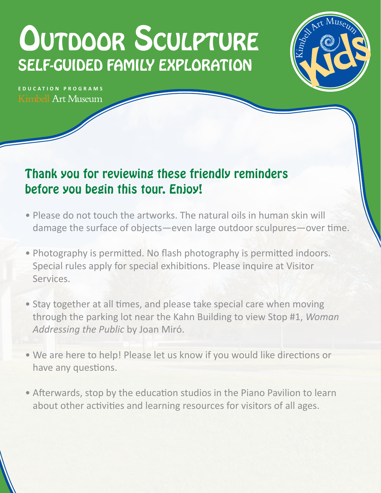# OUTDOOR SCULPTURE SELF-GUIDED FAMILY EXPLORATION



**EDUCATION PROGRAMS Kimbell Art Museum** 

## Thank you for reviewing these friendly reminders before you begin this tour. Enjoy!

- Please do not touch the artworks. The natural oils in human skin will damage the surface of objects—even large outdoor sculpures—over time.
- Photography is permitted. No flash photography is permitted indoors. Special rules apply for special exhibitions. Please inquire at Visitor Services.
- Stay together at all times, and please take special care when moving through the parking lot near the Kahn Building to view Stop #1, *Woman Addressing the Public* by Joan Miró.
- We are here to help! Please let us know if you would like directions or have any questions.
- Afterwards, stop by the education studios in the Piano Pavilion to learn about other activities and learning resources for visitors of all ages.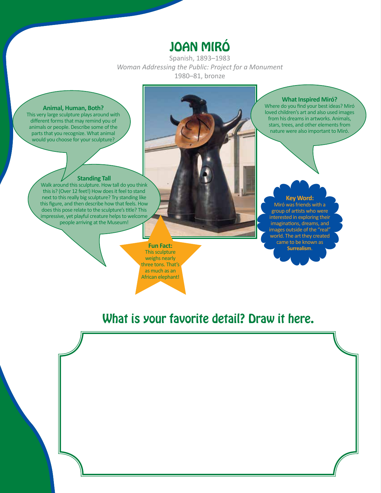## JOAN MIRÓ

Spanish, 1893–1983 *Woman Addressing the Public: Project for a Monument* 1980–81, bronze

#### **Animal, Human, Both?**

This very large sculpture plays around with different forms that may remind you of animals or people. Describe some of the parts that you recognize. What animal would you choose for your sculpture?

### **Standing Tall**

Walk around this sculpture. How tall do you think this is? (Over 12 feet!) How does it feel to stand next to this really big sculpture? Try standing like this figure, and then describe how that feels. How does this pose relate to the sculpture's title? This impressive, yet playful creature helps to welcome people arriving at the Museum!

> **Fun Fact:**  This sculpture weighs nearly three tons. That's as much as an African elephant!

**What Inspired Miró?**

Where do you find your best ideas? Miró loved children's art and also used images from his dreams in artworks. Animals, stars, trees, and other elements from nature were also important to Miró.

#### **Key Word:** Miró was friends with a group of artists who were interested in exploring their imaginations, dreams, and images outside of the "real" world. The art they created came to be known as **Surrealism**.

## What is your favorite detail? Draw it here.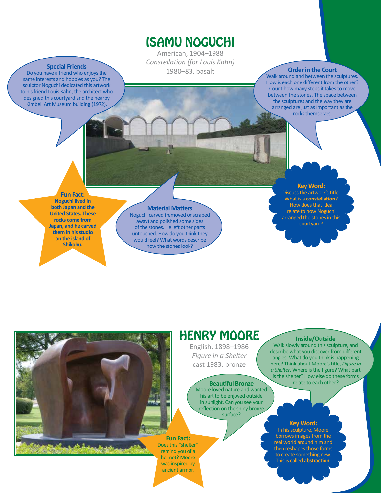### ISAMU NOGUCHI

American, 1904–1988 *Constellation (for Louis Kahn)* 1980–83, basalt **Order in the Court**

Walk around and between the sculptures. How is each one different from the other? Count how many steps it takes to move between the stones. The space between the sculptures and the way they are arranged are just as important as the rocks themselves.

**Special Friends** Do you have a friend who enjoys the same interests and hobbies as you? The sculptor Noguchi dedicated this artwork to his friend Louis Kahn, the architect who designed this courtyard and the nearby Kimbell Art Museum building (1972).

**Fun Fact:** 

**Noguchi lived in both Japan and the United States. These rocks come from Japan, and he carved them in his studio on the island of Shikohu.**

### **Material Matters**

Noguchi carved (removed or scraped away) and polished some sides of the stones. He left other parts untouched. How do you think they would feel? What words describe how the stones look?

### **Key Word:**

Discuss the artwork's title. What is a **constellation**? How does that idea relate to how Noguchi arranged the stones in this courtyard?

## HENRY MOORE

English, 1898–1986 *Figure in a Shelter* cast 1983, bronze

Moore loved nature and wanted his art to be enjoyed outside in sunlight. Can you see your reflection on the shiny bronze surface?

### **Fun Fact:**  Does this "shelter"

remind you of a helmet? Moore was inspired by ancient armor.

### **Inside/Outside**

Walk slowly around this sculpture, and describe what you discover from different angles. What do you think is happening here? Think about Moore's title, *Figure in a Shelter*. Where is the figure? What part is the shelter? How else do these forms **Beautiful Bronze Relate to each other?** 

### **Key Word:**

In his sculpture, Moore borrows images from the real world around him and then reshapes those forms to create something new. This is called **abstraction**.